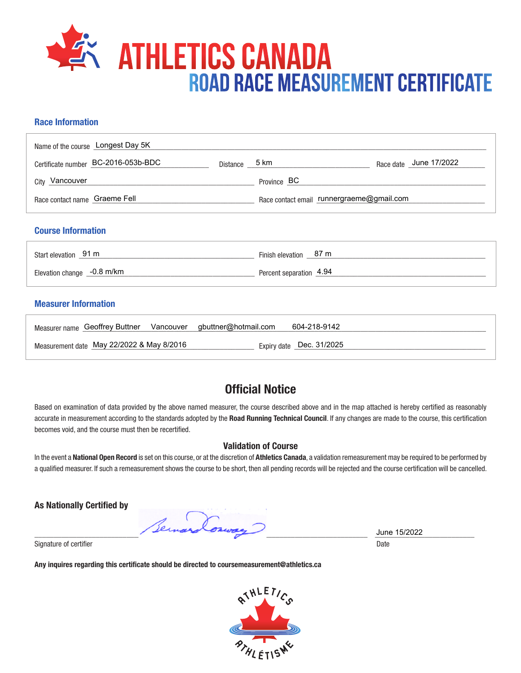

# **Race Information**

| Name of the course Longest Day 5K   |               |                                           |  |                        |
|-------------------------------------|---------------|-------------------------------------------|--|------------------------|
| Certificate number BC-2016-053b-BDC | Distance 5 km |                                           |  | Race date June 17/2022 |
| <sub>City</sub> Vancouver           |               | Province BC                               |  |                        |
| Race contact name Graeme Fell       |               | Race contact email runnergraeme@gmail.com |  |                        |

## **Course Information**

| Start elevation 91 m       | Finish elevation 87 m   |
|----------------------------|-------------------------|
| Elevation change -0.8 m/km | Percent separation 4.94 |

## **Measurer Information**

| Measurer name Geoffrey Buttner Vancouver gbuttner@hotmail.com | 604-218-9142             |
|---------------------------------------------------------------|--------------------------|
| Measurement date May 22/2022 & May 8/2016                     | Expiry date Dec. 31/2025 |

# **Official Notice**

Based on examination of data provided by the above named measurer, the course described above and in the map attached is hereby certified as reasonably accurate in measurement according to the standards adopted by the **Road Running Technical Council**. If any changes are made to the course, this certification becomes void, and the course must then be recertified.

### **Validation of Course**

In the event a **National Open Record** is set on this course, or at the discretion of **Athletics Canada**, a validation remeasurement may be required to be performed by a qualified measurer. If such a remeasurement shows the course to be short, then all pending records will be rejected and the course certification will be cancelled.

**As Nationally Certified by**

 $\frac{3 \text{ line } 15/2022}{\text{ line } 15/2022}$ 

Signature of certifier Date Date of Certifier and Contract of Certifier and Date Date of Certifier and Date Date of Certifier and Date of Certifier and Date of Certifier and Date of Certifier and Date of Certifier and Date

**Any inquires regarding this certificate should be directed to coursemeasurement@athletics.ca**



June 15/2022